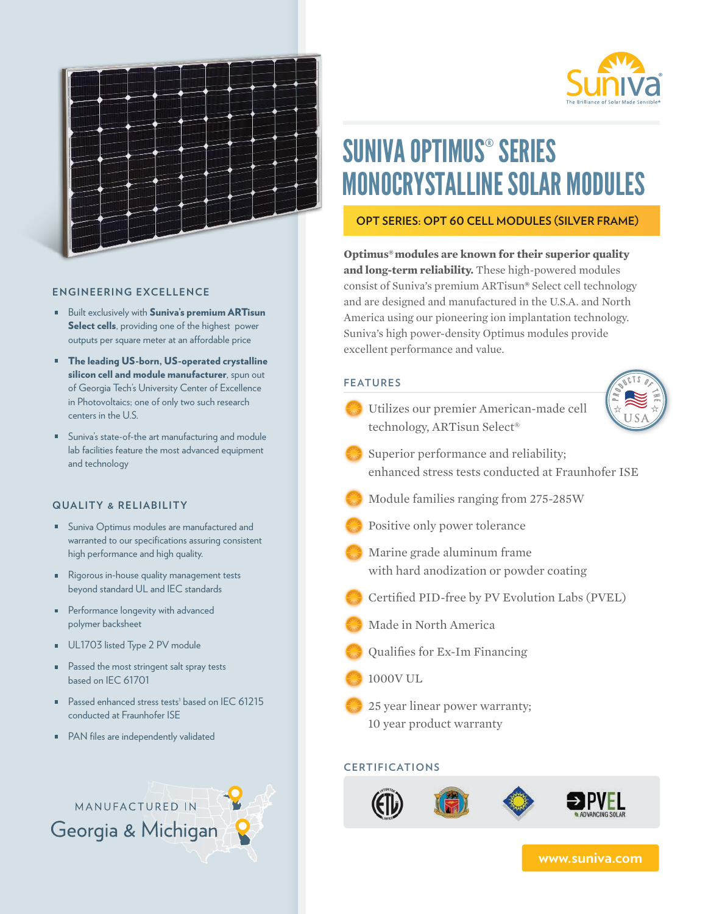



# SUNIVA OPTIMUS® SERIES MONOCRYSTALLINE SOLAR MODULES

### **OPT SERIES: OPT 60 CELL MODULES (SILVER FRAME)**

**Optimus®modules are known for their superior quality and long-term reliability.** These high-powered modules consist of Suniva's premium ARTisun**®** Select cell technology and are designed and manufactured in the U.S.A. and North America using our pioneering ion implantation technology. Suniva's high power-density Optimus modules provide excellent performance and value.

| <b>FEATURES</b>                                                                            |
|--------------------------------------------------------------------------------------------|
| Utilizes our premier American-made cell<br>technology, ARTisun Select <sup>®</sup>         |
| Superior performance and reliability;<br>enhanced stress tests conducted at Fraunhofer ISE |
| Module families ranging from 275-285W                                                      |
| Positive only power tolerance                                                              |
| Marine grade aluminum frame<br>with hard anodization or powder coating                     |
| Certified PID-free by PV Evolution Labs (PVEL)                                             |
| Made in North America                                                                      |
| Qualifies for Ex-Im Financing                                                              |
| 1000VUL                                                                                    |
| 25 year linear power warranty;<br>10 year product warranty                                 |
| <b>EDTIFICATION</b>                                                                        |

# **CERTIFICATIONS**



#### **ENGINEERING EXCELLENCE**

- **Built exclusively with Suniva's premium ARTisun** Select cells, providing one of the highest power outputs per square meter at an affordable price
- The leading US-born, US-operated crystalline silicon cell and module manufacturer, spun out of Georgia Tech's University Center of Excellence in Photovoltaics; one of only two such research centers in the U.S.
- Suniva's state-of-the art manufacturing and module lab facilities feature the most advanced equipment and technology

#### **QUALITY & RELIABILITY**

- **Suniva Optimus modules are manufactured and** warranted to our specifications assuring consistent high performance and high quality.
- Rigorous in-house quality management tests beyond standard UL and IEC standards
- **Performance longevity with advanced** polymer backsheet
- UL1703 listed Type 2 PV module
- **Passed the most stringent salt spray tests** based on IEC 61701
- Passed enhanced stress tests<sup>1</sup> based on IEC 61215 conducted at Fraunhofer ISE
- PAN files are independently validated



**www.suniva.com**